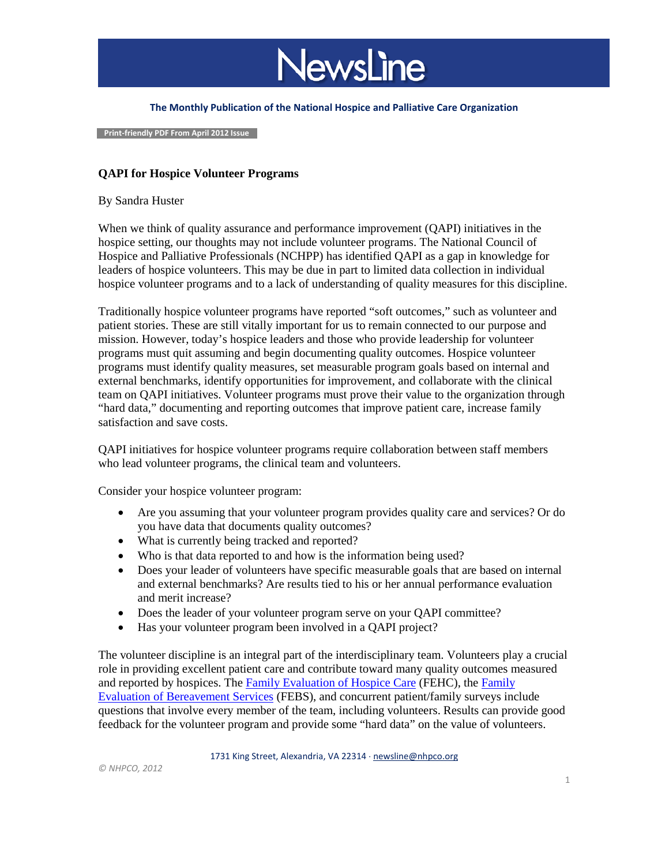

#### **The Monthly Publication of the National Hospice and Palliative Care Organization**

 **Print-friendly PDF From April 2012 Issue**

### **QAPI for Hospice Volunteer Programs**

### By Sandra Huster

When we think of quality assurance and performance improvement (QAPI) initiatives in the hospice setting, our thoughts may not include volunteer programs. The National Council of Hospice and Palliative Professionals (NCHPP) has identified QAPI as a gap in knowledge for leaders of hospice volunteers. This may be due in part to limited data collection in individual hospice volunteer programs and to a lack of understanding of quality measures for this discipline.

Traditionally hospice volunteer programs have reported "soft outcomes," such as volunteer and patient stories. These are still vitally important for us to remain connected to our purpose and mission. However, today's hospice leaders and those who provide leadership for volunteer programs must quit assuming and begin documenting quality outcomes. Hospice volunteer programs must identify quality measures, set measurable program goals based on internal and external benchmarks, identify opportunities for improvement, and collaborate with the clinical team on QAPI initiatives. Volunteer programs must prove their value to the organization through "hard data," documenting and reporting outcomes that improve patient care, increase family satisfaction and save costs.

QAPI initiatives for hospice volunteer programs require collaboration between staff members who lead volunteer programs, the clinical team and volunteers.

Consider your hospice volunteer program:

- Are you assuming that your volunteer program provides quality care and services? Or do you have data that documents quality outcomes?
- What is currently being tracked and reported?
- Who is that data reported to and how is the information being used?
- Does your leader of volunteers have specific measurable goals that are based on internal and external benchmarks? Are results tied to his or her annual performance evaluation and merit increase?
- Does the leader of your volunteer program serve on your QAPI committee?
- Has your volunteer program been involved in a QAPI project?

The volunteer discipline is an integral part of the interdisciplinary team. Volunteers play a crucial role in providing excellent patient care and contribute toward many quality outcomes measured and reported by hospices. The [Family Evaluation of Hospice Care](http://www.nhpco.org/fehc) (FEHC), the [Family](http://www.nhpco.org/febs) [Evaluation of Bereavement Services](http://www.nhpco.org/febs) (FEBS), and concurrent patient/family surveys include questions that involve every member of the team, including volunteers. Results can provide good feedback for the volunteer program and provide some "hard data" on the value of volunteers.

1731 King Street, Alexandria, VA 22314 ⋅ [newsline@nhpco.org](mailto:newsline@nhpco.org)

*© NHPCO, 2012*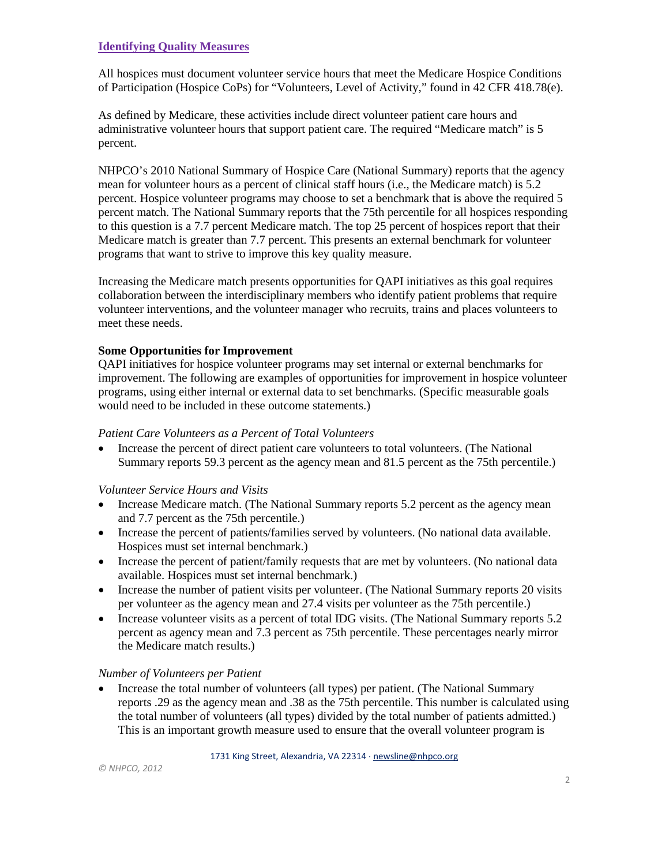## **Identifying Quality Measures**

All hospices must document volunteer service hours that meet the Medicare Hospice Conditions of Participation (Hospice CoPs) for "Volunteers, Level of Activity," found in 42 CFR 418.78(e).

As defined by Medicare, these activities include direct volunteer patient care hours and administrative volunteer hours that support patient care. The required "Medicare match" is 5 percent.

NHPCO's 2010 National Summary of Hospice Care (National Summary) reports that the agency mean for volunteer hours as a percent of clinical staff hours (i.e., the Medicare match) is 5.2 percent. Hospice volunteer programs may choose to set a benchmark that is above the required 5 percent match. The National Summary reports that the 75th percentile for all hospices responding to this question is a 7.7 percent Medicare match. The top 25 percent of hospices report that their Medicare match is greater than 7.7 percent. This presents an external benchmark for volunteer programs that want to strive to improve this key quality measure.

Increasing the Medicare match presents opportunities for QAPI initiatives as this goal requires collaboration between the interdisciplinary members who identify patient problems that require volunteer interventions, and the volunteer manager who recruits, trains and places volunteers to meet these needs.

### **Some Opportunities for Improvement**

QAPI initiatives for hospice volunteer programs may set internal or external benchmarks for improvement. The following are examples of opportunities for improvement in hospice volunteer programs, using either internal or external data to set benchmarks. (Specific measurable goals would need to be included in these outcome statements.)

### *Patient Care Volunteers as a Percent of Total Volunteers*

• Increase the percent of direct patient care volunteers to total volunteers. (The National Summary reports 59.3 percent as the agency mean and 81.5 percent as the 75th percentile.)

# *Volunteer Service Hours and Visits*

- Increase Medicare match. (The National Summary reports 5.2 percent as the agency mean and 7.7 percent as the 75th percentile.)
- Increase the percent of patients/families served by volunteers. (No national data available. Hospices must set internal benchmark.)
- Increase the percent of patient/family requests that are met by volunteers. (No national data available. Hospices must set internal benchmark.)
- Increase the number of patient visits per volunteer. (The National Summary reports 20 visits per volunteer as the agency mean and 27.4 visits per volunteer as the 75th percentile.)
- Increase volunteer visits as a percent of total IDG visits. (The National Summary reports 5.2) percent as agency mean and 7.3 percent as 75th percentile. These percentages nearly mirror the Medicare match results.)

### *Number of Volunteers per Patient*

• Increase the total number of volunteers (all types) per patient. (The National Summary reports .29 as the agency mean and .38 as the 75th percentile. This number is calculated using the total number of volunteers (all types) divided by the total number of patients admitted.) This is an important growth measure used to ensure that the overall volunteer program is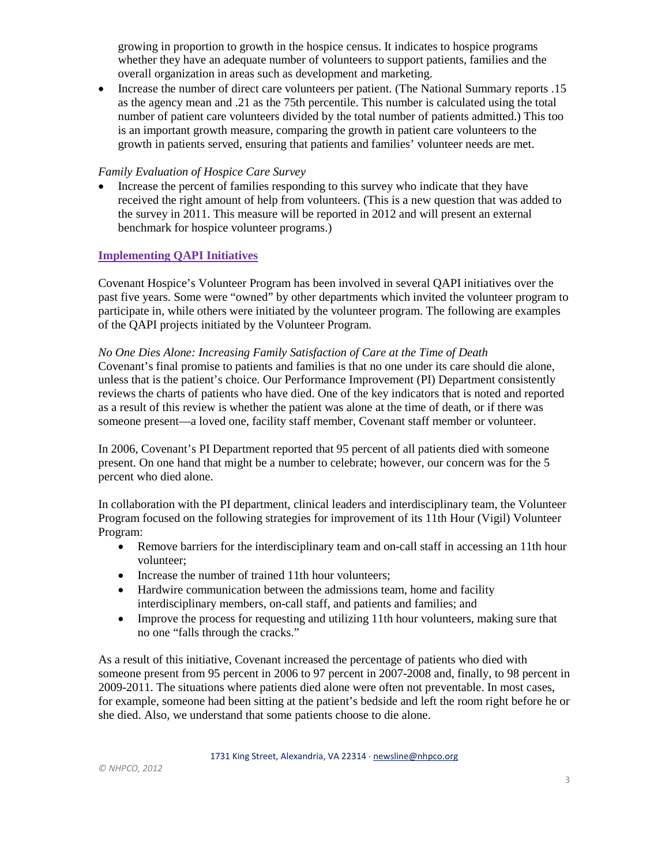growing in proportion to growth in the hospice census. It indicates to hospice programs whether they have an adequate number of volunteers to support patients, families and the overall organization in areas such as development and marketing.

• Increase the number of direct care volunteers per patient. (The National Summary reports .15 as the agency mean and .21 as the 75th percentile. This number is calculated using the total number of patient care volunteers divided by the total number of patients admitted.) This too is an important growth measure, comparing the growth in patient care volunteers to the growth in patients served, ensuring that patients and families' volunteer needs are met.

## *Family Evaluation of Hospice Care Survey*

• Increase the percent of families responding to this survey who indicate that they have received the right amount of help from volunteers. (This is a new question that was added to the survey in 2011. This measure will be reported in 2012 and will present an external benchmark for hospice volunteer programs.)

# **Implementing QAPI Initiatives**

Covenant Hospice's Volunteer Program has been involved in several QAPI initiatives over the past five years. Some were "owned" by other departments which invited the volunteer program to participate in, while others were initiated by the volunteer program. The following are examples of the QAPI projects initiated by the Volunteer Program.

#### *No One Dies Alone: Increasing Family Satisfaction of Care at the Time of Death*

Covenant's final promise to patients and families is that no one under its care should die alone, unless that is the patient's choice. Our Performance Improvement (PI) Department consistently reviews the charts of patients who have died. One of the key indicators that is noted and reported as a result of this review is whether the patient was alone at the time of death, or if there was someone present—a loved one, facility staff member, Covenant staff member or volunteer.

In 2006, Covenant's PI Department reported that 95 percent of all patients died with someone present. On one hand that might be a number to celebrate; however, our concern was for the 5 percent who died alone.

In collaboration with the PI department, clinical leaders and interdisciplinary team, the Volunteer Program focused on the following strategies for improvement of its 11th Hour (Vigil) Volunteer Program:

- Remove barriers for the interdisciplinary team and on-call staff in accessing an 11th hour volunteer;
- Increase the number of trained 11th hour volunteers:
- Hardwire communication between the admissions team, home and facility interdisciplinary members, on-call staff, and patients and families; and
- Improve the process for requesting and utilizing 11th hour volunteers, making sure that no one "falls through the cracks."

As a result of this initiative, Covenant increased the percentage of patients who died with someone present from 95 percent in 2006 to 97 percent in 2007-2008 and, finally, to 98 percent in 2009-2011. The situations where patients died alone were often not preventable. In most cases, for example, someone had been sitting at the patient's bedside and left the room right before he or she died. Also, we understand that some patients choose to die alone.

1731 King Street, Alexandria, VA 22314 ⋅ [newsline@nhpco.org](mailto:newsline@nhpco.org)